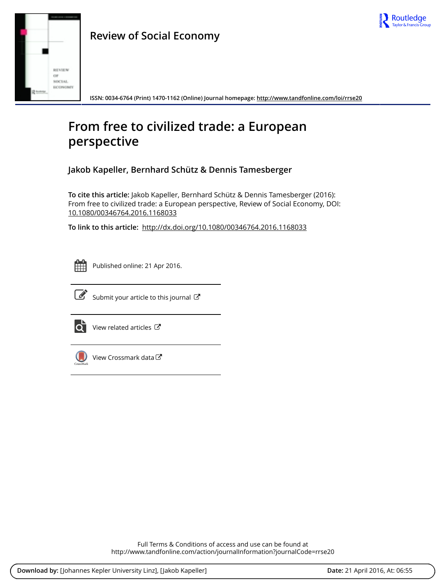



**ISSN: 0034-6764 (Print) 1470-1162 (Online) Journal homepage:<http://www.tandfonline.com/loi/rrse20>**

# **From free to civilized trade: a European perspective**

**Jakob Kapeller, Bernhard Schütz & Dennis Tamesberger**

**To cite this article:** Jakob Kapeller, Bernhard Schütz & Dennis Tamesberger (2016): From free to civilized trade: a European perspective, Review of Social Economy, DOI: [10.1080/00346764.2016.1168033](http://www.tandfonline.com/action/showCitFormats?doi=10.1080/00346764.2016.1168033)

**To link to this article:** <http://dx.doi.org/10.1080/00346764.2016.1168033>



Published online: 21 Apr 2016.



 $\overrightarrow{S}$  [Submit your article to this journal](http://www.tandfonline.com/action/authorSubmission?journalCode=rrse20&page=instructions)  $\overrightarrow{S}$ 



[View related articles](http://www.tandfonline.com/doi/mlt/10.1080/00346764.2016.1168033)  $\mathbb{Z}$ 



[View Crossmark data](http://crossmark.crossref.org/dialog/?doi=10.1080/00346764.2016.1168033&domain=pdf&date_stamp=2016-04-21)

Full Terms & Conditions of access and use can be found at <http://www.tandfonline.com/action/journalInformation?journalCode=rrse20>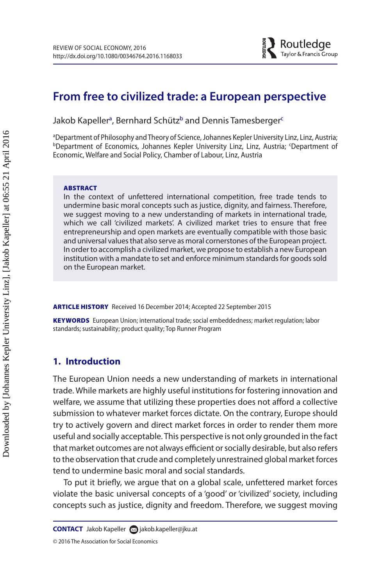

# **From free to civilized trade: a European perspective**

J[a](#page-1-0)kob Kapeller<sup>a</sup>, Bernhard S[c](#page-1-2)hütz<sup>b</sup> and Dennis Tamesberger<sup>c</sup>

<span id="page-1-2"></span><span id="page-1-1"></span><span id="page-1-0"></span><sup>a</sup>Department of Philosophy and Theory of Science, Johannes Kepler University Linz, Linz, Austria; ªDepartment of Philosophy and Theory of Science, Johannes Kepler University Linz, Linz, Austria;<br><sup>b</sup>Department of Economics, Johannes Kepler University Linz, Linz, Austria; 'Department of Economic, Welfare and Social Policy, Chamber of Labour, Linz, Austria

#### ABSTRACT

In the context of unfettered international competition, free trade tends to undermine basic moral concepts such as justice, dignity, and fairness. Therefore, we suggest moving to a new understanding of markets in international trade, which we call 'civilized markets'. A civilized market tries to ensure that free entrepreneurship and open markets are eventually compatible with those basic and universal values that also serve as moral cornerstones of the European project. In order to accomplish a civilized market, we propose to establish a new European institution with a mandate to set and enforce minimum standards for goods sold on the European market.

ARTICLE HISTORY Received 16 December 2014; Accepted 22 September 2015

KEYWORDS European Union; international trade; social embeddedness; market regulation; labor standards; sustainability; product quality; Top Runner Program

# **1. Introduction**

The European Union needs a new understanding of markets in international trade. While markets are highly useful institutions for fostering innovation and welfare, we assume that utilizing these properties does not afford a collective submission to whatever market forces dictate. On the contrary, Europe should try to actively govern and direct market forces in order to render them more useful and socially acceptable. This perspective is not only grounded in the fact that market outcomes are not always efficient or socially desirable, but also refers to the observation that crude and completely unrestrained global market forces tend to undermine basic moral and social standards.

To put it briefly, we argue that on a global scale, unfettered market forces violate the basic universal concepts of a 'good' or 'civilized' society, including concepts such as justice, dignity and freedom. Therefore, we suggest moving

© 2016 The Association for Social Economics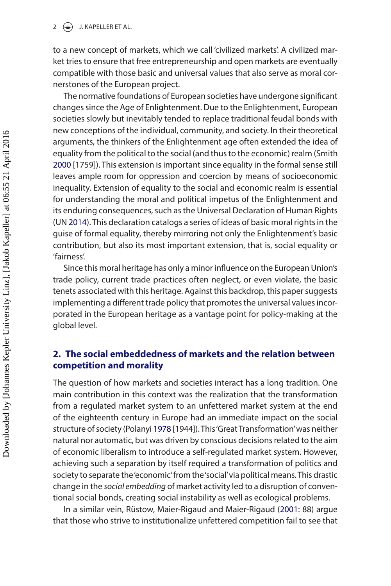to a new concept of markets, which we call 'civilized markets'. A civilized market tries to ensure that free entrepreneurship and open markets are eventually compatible with those basic and universal values that also serve as moral cornerstones of the European project.

<span id="page-2-2"></span>The normative foundations of European societies have undergone significant changes since the Age of Enlightenment. Due to the Enlightenment, European societies slowly but inevitably tended to replace traditional feudal bonds with new conceptions of the individual, community, and society. In their theoretical arguments, the thinkers of the Enlightenment age often extended the idea of equality from the political to the social (and thus to the economic) realm (Smith [2000](#page-9-0) [1759]). This extension is important since equality in the formal sense still leaves ample room for oppression and coercion by means of socioeconomic inequality. Extension of equality to the social and economic realm is essential for understanding the moral and political impetus of the Enlightenment and its enduring consequences, such as the Universal Declaration of Human Rights (UN [2014](#page-9-1)). This declaration catalogs a series of ideas of basic moral rights in the guise of formal equality, thereby mirroring not only the Enlightenment's basic contribution, but also its most important extension, that is, social equality or 'fairness'.

<span id="page-2-3"></span>Since this moral heritage has only a minor influence on the European Union's trade policy, current trade practices often neglect, or even violate, the basic tenets associated with this heritage. Against this backdrop, this paper suggests implementing a different trade policy that promotes the universal values incorporated in the European heritage as a vantage point for policy-making at the global level.

# **2. The social embeddedness of markets and the relation between competition and morality**

<span id="page-2-0"></span>The question of how markets and societies interact has a long tradition. One main contribution in this context was the realization that the transformation from a regulated market system to an unfettered market system at the end of the eighteenth century in Europe had an immediate impact on the social structure of society (Polanyi [1978](#page-9-2) [1944]). This 'Great Transformation' was neither natural nor automatic, but was driven by conscious decisions related to the aim of economic liberalism to introduce a self-regulated market system. However, achieving such a separation by itself required a transformation of politics and society to separate the 'economic' from the 'social' via political means. This drastic change in the *social embedding* of market activity led to a disruption of conventional social bonds, creating social instability as well as ecological problems.

<span id="page-2-1"></span>In a similar vein, Rüstow, Maier-Rigaud and Maier-Rigaud ([2001](#page-9-3): 88) argue that those who strive to institutionalize unfettered competition fail to see that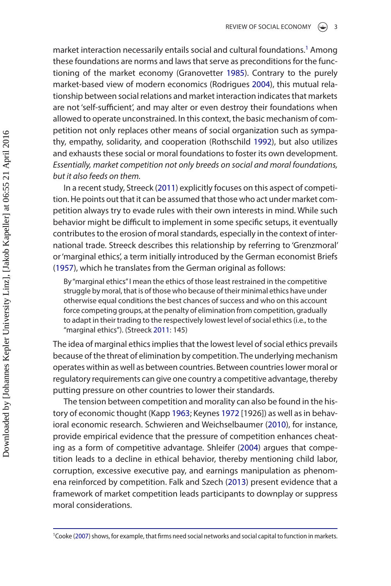<span id="page-3-7"></span><span id="page-3-4"></span>market interaction necessarily entails social and cultural foundations.<sup>[1](#page-3-0)</sup> Among these foundations are norms and laws that serve as preconditions for the functioning of the market economy (Granovetter [1985\)](#page-8-0). Contrary to the purely market-based view of modern economics (Rodrigues [2004\)](#page-9-4), this mutual relationship between social relations and market interaction indicates that markets are not 'self-sufficient', and may alter or even destroy their foundations when allowed to operate unconstrained. In this context, the basic mechanism of competition not only replaces other means of social organization such as sympathy, empathy, solidarity, and cooperation (Rothschild [1992\)](#page-9-5), but also utilizes and exhausts these social or moral foundations to foster its own development. *Essentially, market competition not only breeds on social and moral foundations, but it also feeds on them.*

<span id="page-3-11"></span><span id="page-3-8"></span>In a recent study, Streeck [\(2011\)](#page-9-6) explicitly focuses on this aspect of competition. He points out that it can be assumed that those who act under market competition always try to evade rules with their own interests in mind. While such behavior might be difficult to implement in some specific setups, it eventually contributes to the erosion of moral standards, especially in the context of international trade. Streeck describes this relationship by referring to 'Grenzmoral' or 'marginal ethics', a term initially introduced by the German economist Briefs ([1957](#page-8-1)), which he translates from the German original as follows:

<span id="page-3-1"></span>By "marginal ethics" I mean the ethics of those least restrained in the competitive struggle by moral, that is of those who because of their minimal ethics have under otherwise equal conditions the best chances of success and who on this account force competing groups, at the penalty of elimination from competition, gradually to adapt in their trading to the respectively lowest level of social ethics (i.e., to the "marginal ethics"). (Streeck [2011](#page-9-6): 145)

The idea of marginal ethics implies that the lowest level of social ethics prevails because of the threat of elimination by competition. The underlying mechanism operates within as well as between countries. Between countries lower moral or regulatory requirements can give one country a competitive advantage, thereby putting pressure on other countries to lower their standards.

<span id="page-3-10"></span><span id="page-3-9"></span><span id="page-3-6"></span><span id="page-3-5"></span>The tension between competition and morality can also be found in the history of economic thought (Kapp [1963](#page-9-7); Keynes [1972](#page-9-8) [1926]) as well as in behavioral economic research. Schwieren and Weichselbaumer [\(2010\)](#page-9-9), for instance, provide empirical evidence that the pressure of competition enhances cheating as a form of competitive advantage. Shleifer ([2004](#page-9-10)) argues that competition leads to a decline in ethical behavior, thereby mentioning child labor, corruption, excessive executive pay, and earnings manipulation as phenomena reinforced by competition. Falk and Szech ([2013](#page-8-2)) present evidence that a framework of market competition leads participants to downplay or suppress moral considerations.

<span id="page-3-3"></span><span id="page-3-2"></span><span id="page-3-0"></span><sup>1</sup> Cooke [\(2007](#page-8-3)) shows, for example, that firms need social networks and social capital to function in markets.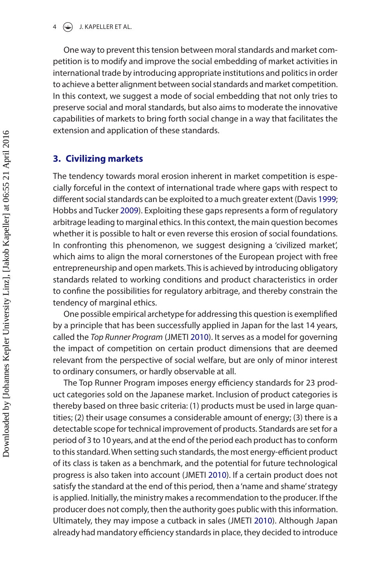One way to prevent this tension between moral standards and market competition is to modify and improve the social embedding of market activities in international trade by introducing appropriate institutions and politics in order to achieve a better alignment between social standards and market competition. In this context, we suggest a mode of social embedding that not only tries to preserve social and moral standards, but also aims to moderate the innovative capabilities of markets to bring forth social change in a way that facilitates the extension and application of these standards.

## **3. Civilizing markets**

<span id="page-4-1"></span><span id="page-4-0"></span>The tendency towards moral erosion inherent in market competition is especially forceful in the context of international trade where gaps with respect to different social standards can be exploited to a much greater extent (Davis [1999](#page-8-4); Hobbs and Tucker [2009\)](#page-8-5). Exploiting these gaps represents a form of regulatory arbitrage leading to marginal ethics. In this context, the main question becomes whether it is possible to halt or even reverse this erosion of social foundations. In confronting this phenomenon, we suggest designing a 'civilized market', which aims to align the moral cornerstones of the European project with free entrepreneurship and open markets. This is achieved by introducing obligatory standards related to working conditions and product characteristics in order to confine the possibilities for regulatory arbitrage, and thereby constrain the tendency of marginal ethics.

<span id="page-4-2"></span>One possible empirical archetype for addressing this question is exemplified by a principle that has been successfully applied in Japan for the last 14 years, called the *Top Runner Program* (JMETI [2010](#page-8-6)). It serves as a model for governing the impact of competition on certain product dimensions that are deemed relevant from the perspective of social welfare, but are only of minor interest to ordinary consumers, or hardly observable at all.

The Top Runner Program imposes energy efficiency standards for 23 product categories sold on the Japanese market. Inclusion of product categories is thereby based on three basic criteria: (1) products must be used in large quantities; (2) their usage consumes a considerable amount of energy; (3) there is a detectable scope for technical improvement of products. Standards are set for a period of 3 to 10 years, and at the end of the period each product has to conform to this standard. When setting such standards, the most energy-efficient product of its class is taken as a benchmark, and the potential for future technological progress is also taken into account (JMETI [2010](#page-8-6)). If a certain product does not satisfy the standard at the end of this period, then a 'name and shame' strategy is applied. Initially, the ministry makes a recommendation to the producer. If the producer does not comply, then the authority goes public with this information. Ultimately, they may impose a cutback in sales (JMETI [2010](#page-8-6)). Although Japan already had mandatory efficiency standards in place, they decided to introduce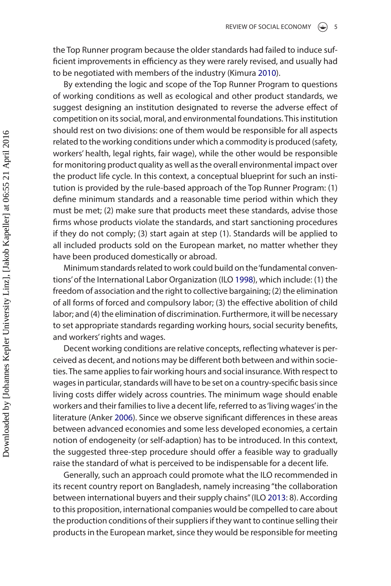the Top Runner program because the older standards had failed to induce sufficient improvements in efficiency as they were rarely revised, and usually had to be negotiated with members of the industry (Kimura [2010\)](#page-9-11).

<span id="page-5-3"></span>By extending the logic and scope of the Top Runner Program to questions of working conditions as well as ecological and other product standards, we suggest designing an institution designated to reverse the adverse effect of competition on its social, moral, and environmental foundations. This institution should rest on two divisions: one of them would be responsible for all aspects related to the working conditions under which a commodity is produced (safety, workers' health, legal rights, fair wage), while the other would be responsible for monitoring product quality as well as the overall environmental impact over the product life cycle. In this context, a conceptual blueprint for such an institution is provided by the rule-based approach of the Top Runner Program: (1) define minimum standards and a reasonable time period within which they must be met; (2) make sure that products meet these standards, advise those firms whose products violate the standards, and start sanctioning procedures if they do not comply; (3) start again at step (1). Standards will be applied to all included products sold on the European market, no matter whether they have been produced domestically or abroad.

<span id="page-5-1"></span>Minimum standards related to work could build on the 'fundamental conventions' of the International Labor Organization (ILO [1998\)](#page-8-7), which include: (1) the freedom of association and the right to collective bargaining; (2) the elimination of all forms of forced and compulsory labor; (3) the effective abolition of child labor; and (4) the elimination of discrimination. Furthermore, it will be necessary to set appropriate standards regarding working hours, social security benefits, and workers' rights and wages.

Decent working conditions are relative concepts, reflecting whatever is perceived as decent, and notions may be different both between and within societies. The same applies to fair working hours and social insurance. With respect to wages in particular, standards will have to be set on a country-specific basis since living costs differ widely across countries. The minimum wage should enable workers and their families to live a decent life, referred to as 'living wages' in the literature (Anker [2006](#page-8-8)). Since we observe significant differences in these areas between advanced economies and some less developed economies, a certain notion of endogeneity (or self-adaption) has to be introduced. In this context, the suggested three-step procedure should offer a feasible way to gradually raise the standard of what is perceived to be indispensable for a decent life.

<span id="page-5-2"></span><span id="page-5-0"></span>Generally, such an approach could promote what the ILO recommended in its recent country report on Bangladesh, namely increasing "the collaboration between international buyers and their supply chains" (ILO [2013:](#page-8-9) 8). According to this proposition, international companies would be compelled to care about the production conditions of their suppliers if they want to continue selling their products in the European market, since they would be responsible for meeting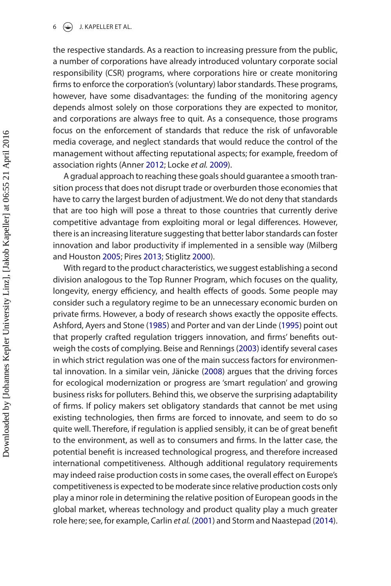#### $6 \quad \circled{\LARGE{\textcircled{\textcirc}}}$  J. KAPELLER ET AL.

the respective standards. As a reaction to increasing pressure from the public, a number of corporations have already introduced voluntary corporate social responsibility (CSR) programs, where corporations hire or create monitoring firms to enforce the corporation's (voluntary) labor standards. These programs, however, have some disadvantages: the funding of the monitoring agency depends almost solely on those corporations they are expected to monitor, and corporations are always free to quit. As a consequence, those programs focus on the enforcement of standards that reduce the risk of unfavorable media coverage, and neglect standards that would reduce the control of the management without affecting reputational aspects; for example, freedom of association rights (Anner [2012;](#page-8-10) Locke *et al.* [2009\)](#page-9-12).

<span id="page-6-5"></span><span id="page-6-0"></span>A gradual approach to reaching these goals should guarantee a smooth transition process that does not disrupt trade or overburden those economies that have to carry the largest burden of adjustment. We do not deny that standards that are too high will pose a threat to those countries that currently derive competitive advantage from exploiting moral or legal differences. However, there is an increasing literature suggesting that better labor standards can foster innovation and labor productivity if implemented in a sensible way (Milberg and Houston [2005;](#page-9-13) Pires [2013](#page-9-14); Stiglitz [2000](#page-9-15)).

<span id="page-6-10"></span><span id="page-6-9"></span><span id="page-6-8"></span><span id="page-6-7"></span><span id="page-6-6"></span><span id="page-6-4"></span><span id="page-6-3"></span><span id="page-6-2"></span><span id="page-6-1"></span>With regard to the product characteristics, we suggest establishing a second division analogous to the Top Runner Program, which focuses on the quality, longevity, energy efficiency, and health effects of goods. Some people may consider such a regulatory regime to be an unnecessary economic burden on private firms. However, a body of research shows exactly the opposite effects. Ashford, Ayers and Stone [\(1985\)](#page-8-11) and Porter and van der Linde [\(1995\)](#page-9-16) point out that properly crafted regulation triggers innovation, and firms' benefits outweigh the costs of complying. Beise and Rennings [\(2003\)](#page-8-12) identify several cases in which strict regulation was one of the main success factors for environmental innovation. In a similar vein, Jänicke [\(2008\)](#page-9-17) argues that the driving forces for ecological modernization or progress are 'smart regulation' and growing business risks for polluters. Behind this, we observe the surprising adaptability of firms. If policy makers set obligatory standards that cannot be met using existing technologies, then firms are forced to innovate, and seem to do so quite well. Therefore, if regulation is applied sensibly, it can be of great benefit to the environment, as well as to consumers and firms. In the latter case, the potential benefit is increased technological progress, and therefore increased international competitiveness. Although additional regulatory requirements may indeed raise production costs in some cases, the overall effect on Europe's competitiveness is expected to be moderate since relative production costs only play a minor role in determining the relative position of European goods in the global market, whereas technology and product quality play a much greater role here; see, for example, Carlin *et al.* ([2001](#page-8-13)) and Storm and Naastepad ([2014](#page-9-18)).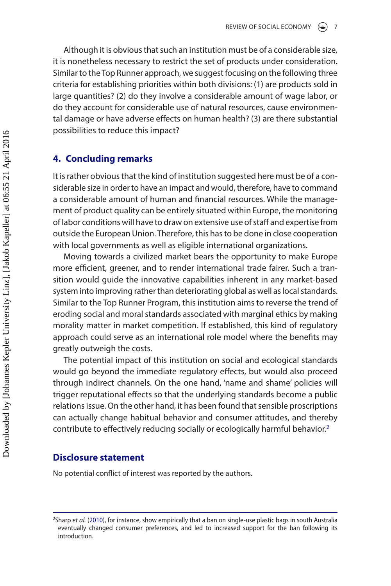Although it is obvious that such an institution must be of a considerable size, it is nonetheless necessary to restrict the set of products under consideration. Similar to the Top Runner approach, we suggest focusing on the following three criteria for establishing priorities within both divisions: (1) are products sold in large quantities? (2) do they involve a considerable amount of wage labor, or do they account for considerable use of natural resources, cause environmental damage or have adverse effects on human health? (3) are there substantial possibilities to reduce this impact?

## **4. Concluding remarks**

It is rather obvious that the kind of institution suggested here must be of a considerable size in order to have an impact and would, therefore, have to command a considerable amount of human and financial resources. While the management of product quality can be entirely situated within Europe, the monitoring of labor conditions will have to draw on extensive use of staff and expertise from outside the European Union. Therefore, this has to be done in close cooperation with local governments as well as eligible international organizations.

Moving towards a civilized market bears the opportunity to make Europe more efficient, greener, and to render international trade fairer. Such a transition would guide the innovative capabilities inherent in any market-based system into improving rather than deteriorating global as well as local standards. Similar to the Top Runner Program, this institution aims to reverse the trend of eroding social and moral standards associated with marginal ethics by making morality matter in market competition. If established, this kind of regulatory approach could serve as an international role model where the benefits may greatly outweigh the costs.

The potential impact of this institution on social and ecological standards would go beyond the immediate regulatory effects, but would also proceed through indirect channels. On the one hand, 'name and shame' policies will trigger reputational effects so that the underlying standards become a public relations issue. On the other hand, it has been found that sensible proscriptions can actually change habitual behavior and consumer attitudes, and thereby contribute to effectively reducing socially or ecologically harmful behavior[.2](#page-7-0)

# **Disclosure statement**

No potential conflict of interest was reported by the authors.

<span id="page-7-1"></span><span id="page-7-0"></span><sup>&</sup>lt;sup>2</sup>Sharp *et al.* [\(2010](#page-9-19)), for instance, show empirically that a ban on single-use plastic bags in south Australia eventually changed consumer preferences, and led to increased support for the ban following its introduction.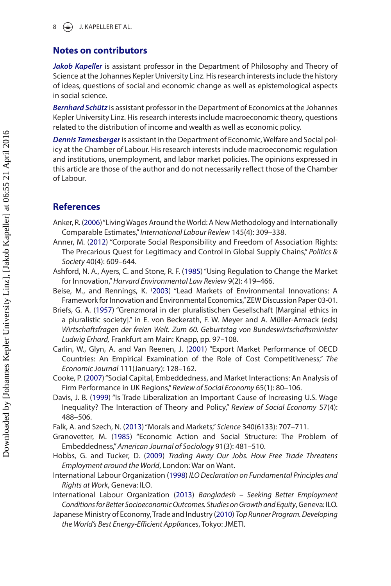# **Notes on contributors**

*Jakob Kapeller* is assistant professor in the Department of Philosophy and Theory of Science at the Johannes Kepler University Linz. His research interests include the history of ideas, questions of social and economic change as well as epistemological aspects in social science.

*Bernhard Schütz* is assistant professor in the Department of Economics at the Johannes Kepler University Linz. His research interests include macroeconomic theory, questions related to the distribution of income and wealth as well as economic policy.

*Dennis Tamesberger* is assistant in the Department of Economic, Welfare and Social policy at the Chamber of Labour. His research interests include macroeconomic regulation and institutions, unemployment, and labor market policies. The opinions expressed in this article are those of the author and do not necessarily reflect those of the Chamber of Labour.

# **References**

- <span id="page-8-8"></span>Anker, R. [\(2006](#page-5-0)) "Living Wages Around the World: A New Methodology and Internationally Comparable Estimates," *International Labour Review* 145(4): 309–338.
- <span id="page-8-10"></span>Anner, M. [\(2012\)](#page-6-0) "Corporate Social Responsibility and Freedom of Association Rights: The Precarious Quest for Legitimacy and Control in Global Supply Chains," *Politics & Society* 40(4): 609–644.
- <span id="page-8-11"></span>Ashford, N. A., Ayers, C. and Stone, R. F. [\(1985\)](#page-6-1) "Using Regulation to Change the Market for Innovation," *Harvard Environmental Law Review* 9(2): 419–466.
- <span id="page-8-12"></span>Beise, M., and Rennings, K. [\(2003\)](#page-6-2) "Lead Markets of Environmental Innovations: A Framework for Innovation and Environmental Economics," ZEW Discussion Paper 03-01.
- <span id="page-8-1"></span>Briefs, G. A. [\(1957\)](#page-3-1) "Grenzmoral in der pluralistischen Gesellschaft [Marginal ethics in a pluralistic society]." in E. von Beckerath, F. W. Meyer and A. Müller-Armack (eds) *Wirtschaftsfragen der freien Welt. Zum 60. Geburtstag von Bundeswirtschaftsminister Ludwig Erhard,* Frankfurt am Main: Knapp, pp. 97–108.
- <span id="page-8-13"></span>Carlin, W., Glyn, A. and Van Reenen, J. [\(2001\)](#page-6-3) "Export Market Performance of OECD Countries: An Empirical Examination of the Role of Cost Competitiveness," *The Economic Journal* 111(January): 128–162.
- <span id="page-8-3"></span>Cooke, P. [\(2007\)](#page-3-2) "Social Capital, Embeddedness, and Market Interactions: An Analysis of Firm Performance in UK Regions," *Review of Social Economy* 65(1): 80–106.
- <span id="page-8-4"></span>Davis, J. B. [\(1999\)](#page-4-0) "Is Trade Liberalization an Important Cause of Increasing U.S. Wage Inequality? The Interaction of Theory and Policy," *Review of Social Economy* 57(4): 488–506.
- <span id="page-8-2"></span>Falk, A. and Szech, N. ([2013](#page-3-3)) "Morals and Markets," *Science* 340(6133): 707–711.
- <span id="page-8-0"></span>Granovetter, M. ([1985](#page-3-4)) "Economic Action and Social Structure: The Problem of Embeddedness," *American Journal of Sociology* 91(3): 481–510.
- <span id="page-8-5"></span>Hobbs, G. and Tucker, D. [\(2009\)](#page-4-1) *Trading Away Our Jobs. How Free Trade Threatens Employment around the World*, London: War on Want.
- <span id="page-8-7"></span>International Labour Organization [\(1998\)](#page-5-1) *ILO Declaration on Fundamental Principles and Rights at Work*, Geneva: ILO.
- <span id="page-8-9"></span>International Labour Organization [\(2013](#page-5-2)) *Bangladesh – Seeking Better Employment Conditions for Better Socioeconomic Outcomes. Studies on Growth and Equity*, Geneva: ILO.
- <span id="page-8-6"></span>Japanese Ministry of Economy, Trade and Industry ([2010\)](#page-4-2) *Top Runner Program. Developing the World's Best Energy-Efficient Appliances*, Tokyo: JMETI.